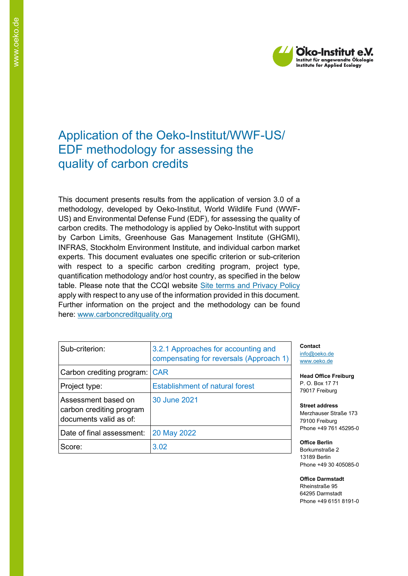

# Application of the Oeko-Institut/WWF-US/ EDF methodology for assessing the quality of carbon credits

This document presents results from the application of version 3.0 of a methodology, developed by Oeko-Institut, World Wildlife Fund (WWF-US) and Environmental Defense Fund (EDF), for assessing the quality of carbon credits. The methodology is applied by Oeko-Institut with support by Carbon Limits, Greenhouse Gas Management Institute (GHGMI), INFRAS, Stockholm Environment Institute, and individual carbon market experts. This document evaluates one specific criterion or sub-criterion with respect to a specific carbon crediting program, project type, quantification methodology and/or host country, as specified in the below table. Please note that the CCQI website [Site terms and Privacy Policy](https://carboncreditquality.org/terms.html) apply with respect to any use of the information provided in this document. Further information on the project and the methodology can be found here: [www.carboncreditquality.org](http://www.carboncreditquality.org/)

| Sub-criterion:                                                            | 3.2.1 Approaches for accounting and<br>compensating for reversals (Approach 1) |
|---------------------------------------------------------------------------|--------------------------------------------------------------------------------|
| Carbon crediting program: CAR                                             |                                                                                |
| Project type:                                                             | <b>Establishment of natural forest</b>                                         |
| Assessment based on<br>carbon crediting program<br>documents valid as of: | 30 June 2021                                                                   |
| Date of final assessment:                                                 | 20 May 2022                                                                    |
| Score:                                                                    | 3.02                                                                           |

**Contact** [info@oeko.de](mailto:info@oeko.de) [www.oeko.de](http://www.oeko.de/)

**Head Office Freiburg** P. O. Box 17 71 79017 Freiburg

**Street address** Merzhauser Straße 173 79100 Freiburg Phone +49 761 45295-0

**Office Berlin** Borkumstraße 2 13189 Berlin Phone +49 30 405085-0

**Office Darmstadt** Rheinstraße 95 64295 Darmstadt Phone +49 6151 8191-0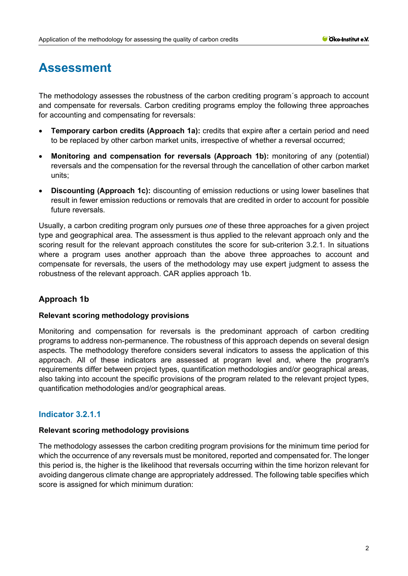# **Assessment**

The methodology assesses the robustness of the carbon crediting program´s approach to account and compensate for reversals. Carbon crediting programs employ the following three approaches for accounting and compensating for reversals:

- **Temporary carbon credits (Approach 1a):** credits that expire after a certain period and need to be replaced by other carbon market units, irrespective of whether a reversal occurred;
- **Monitoring and compensation for reversals (Approach 1b):** monitoring of any (potential) reversals and the compensation for the reversal through the cancellation of other carbon market units;
- **Discounting (Approach 1c):** discounting of emission reductions or using lower baselines that result in fewer emission reductions or removals that are credited in order to account for possible future reversals.

Usually, a carbon crediting program only pursues *one* of these three approaches for a given project type and geographical area. The assessment is thus applied to the relevant approach only and the scoring result for the relevant approach constitutes the score for sub-criterion 3.2.1. In situations where a program uses another approach than the above three approaches to account and compensate for reversals, the users of the methodology may use expert judgment to assess the robustness of the relevant approach. CAR applies approach 1b.

# **Approach 1b**

# **Relevant scoring methodology provisions**

Monitoring and compensation for reversals is the predominant approach of carbon crediting programs to address non-permanence. The robustness of this approach depends on several design aspects. The methodology therefore considers several indicators to assess the application of this approach. All of these indicators are assessed at program level and, where the program's requirements differ between project types, quantification methodologies and/or geographical areas, also taking into account the specific provisions of the program related to the relevant project types, quantification methodologies and/or geographical areas.

# **Indicator 3.2.1.1**

# **Relevant scoring methodology provisions**

The methodology assesses the carbon crediting program provisions for the minimum time period for which the occurrence of any reversals must be monitored, reported and compensated for. The longer this period is, the higher is the likelihood that reversals occurring within the time horizon relevant for avoiding dangerous climate change are appropriately addressed. The following table specifies which score is assigned for which minimum duration: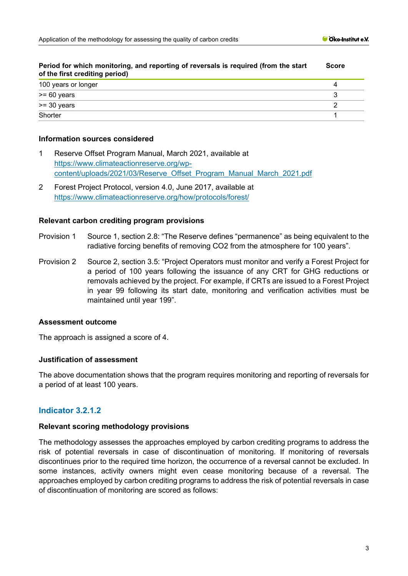| Period for which monitoring, and reporting of reversals is required (from the start<br>of the first crediting period) |  |  |
|-----------------------------------------------------------------------------------------------------------------------|--|--|
| 100 years or longer                                                                                                   |  |  |
| $>= 60$ years                                                                                                         |  |  |
| $>=$ 30 years                                                                                                         |  |  |
| Shorter                                                                                                               |  |  |

#### **Information sources considered**

- 1 Reserve Offset Program Manual, March 2021, available at [https://www.climateactionreserve.org/wp](https://www.climateactionreserve.org/wp-content/uploads/2021/03/Reserve_Offset_Program_Manual_March_2021.pdf)[content/uploads/2021/03/Reserve\\_Offset\\_Program\\_Manual\\_March\\_2021.pdf](https://www.climateactionreserve.org/wp-content/uploads/2021/03/Reserve_Offset_Program_Manual_March_2021.pdf)
- 2 Forest Project Protocol, version 4.0, June 2017, available at <https://www.climateactionreserve.org/how/protocols/forest/>

#### **Relevant carbon crediting program provisions**

- Provision 1 Source 1, section 2.8: "The Reserve defines "permanence" as being equivalent to the radiative forcing benefits of removing CO2 from the atmosphere for 100 years".
- Provision 2 Source 2, section 3.5: "Project Operators must monitor and verify a Forest Project for a period of 100 years following the issuance of any CRT for GHG reductions or removals achieved by the project. For example, if CRTs are issued to a Forest Project in year 99 following its start date, monitoring and verification activities must be maintained until year 199".

#### **Assessment outcome**

The approach is assigned a score of 4.

#### **Justification of assessment**

The above documentation shows that the program requires monitoring and reporting of reversals for a period of at least 100 years.

## **Indicator 3.2.1.2**

#### **Relevant scoring methodology provisions**

The methodology assesses the approaches employed by carbon crediting programs to address the risk of potential reversals in case of discontinuation of monitoring. If monitoring of reversals discontinues prior to the required time horizon, the occurrence of a reversal cannot be excluded. In some instances, activity owners might even cease monitoring because of a reversal. The approaches employed by carbon crediting programs to address the risk of potential reversals in case of discontinuation of monitoring are scored as follows: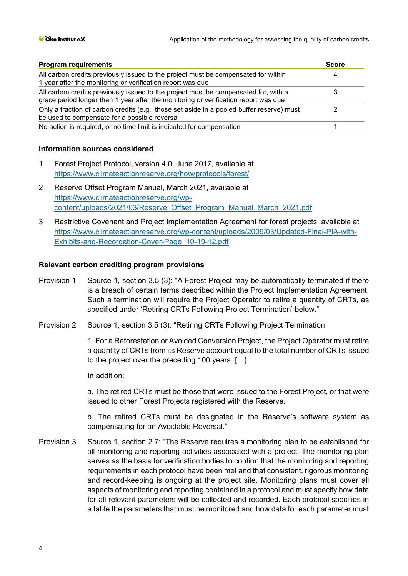| <b>Program requirements</b>                                                                                                                                                | <b>Score</b> |
|----------------------------------------------------------------------------------------------------------------------------------------------------------------------------|--------------|
| All carbon credits previously issued to the project must be compensated for within<br>1 year after the monitoring or verification report was due                           | 4            |
| All carbon credits previously issued to the project must be compensated for, with a<br>grace period longer than 1 year after the monitoring or verification report was due |              |
| Only a fraction of carbon credits (e.g., those set aside in a pooled buffer reserve) must<br>be used to compensate for a possible reversal                                 |              |
| No action is required, or no time limit is indicated for compensation                                                                                                      |              |

#### **Information sources considered**

- 1 Forest Project Protocol, version 4.0, June 2017, available at <https://www.climateactionreserve.org/how/protocols/forest/>
- 2 Reserve Offset Program Manual, March 2021, available at [https://www.climateactionreserve.org/wp](https://www.climateactionreserve.org/wp-content/uploads/2021/03/Reserve_Offset_Program_Manual_March_2021.pdf)[content/uploads/2021/03/Reserve\\_Offset\\_Program\\_Manual\\_March\\_2021.pdf](https://www.climateactionreserve.org/wp-content/uploads/2021/03/Reserve_Offset_Program_Manual_March_2021.pdf)
- 3 Restrictive Covenant and Project Implementation Agreement for forest projects, available at [https://www.climateactionreserve.org/wp-content/uploads/2009/03/Updated-Final-PIA-with-](https://www.climateactionreserve.org/wp-content/uploads/2009/03/Updated-Final-PIA-with-Exhibits-and-Recordation-Cover-Page_10-19-12.pdf)[Exhibits-and-Recordation-Cover-Page\\_10-19-12.pdf](https://www.climateactionreserve.org/wp-content/uploads/2009/03/Updated-Final-PIA-with-Exhibits-and-Recordation-Cover-Page_10-19-12.pdf)

#### **Relevant carbon crediting program provisions**

- Provision 1 Source 1, section 3.5 (3): "A Forest Project may be automatically terminated if there is a breach of certain terms described within the Project Implementation Agreement. Such a termination will require the Project Operator to retire a quantity of CRTs, as specified under 'Retiring CRTs Following Project Termination' below."
- Provision 2 Source 1, section 3.5 (3): "Retiring CRTs Following Project Termination

1. For a Reforestation or Avoided Conversion Project, the Project Operator must retire a quantity of CRTs from its Reserve account equal to the total number of CRTs issued to the project over the preceding 100 years. […]

In addition:

a. The retired CRTs must be those that were issued to the Forest Project, or that were issued to other Forest Projects registered with the Reserve.

b. The retired CRTs must be designated in the Reserve's software system as compensating for an Avoidable Reversal."

Provision 3 Source 1, section 2.7: "The Reserve requires a monitoring plan to be established for all monitoring and reporting activities associated with a project. The monitoring plan serves as the basis for verification bodies to confirm that the monitoring and reporting requirements in each protocol have been met and that consistent, rigorous monitoring and record-keeping is ongoing at the project site. Monitoring plans must cover all aspects of monitoring and reporting contained in a protocol and must specify how data for all relevant parameters will be collected and recorded. Each protocol specifies in a table the parameters that must be monitored and how data for each parameter must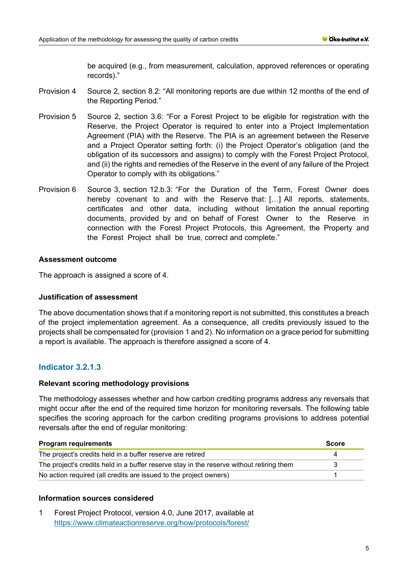be acquired (e.g., from measurement, calculation, approved references or operating records)."

- Provision 4 Source 2, section 8.2: "All monitoring reports are due within 12 months of the end of the Reporting Period."
- Provision 5 Source 2, section 3.6: "For a Forest Project to be eligible for registration with the Reserve, the Project Operator is required to enter into a Project Implementation Agreement (PIA) with the Reserve. The PIA is an agreement between the Reserve and a Project Operator setting forth: (i) the Project Operator's obligation (and the obligation of its successors and assigns) to comply with the Forest Project Protocol, and (ii) the rights and remedies of the Reserve in the event of any failure of the Project Operator to comply with its obligations."
- Provision 6 Source 3, section 12.b.3: "For the Duration of the Term, Forest Owner does hereby covenant to and with the Reserve that: […] All reports, statements, certificates and other data, including without limitation the annual reporting documents, provided by and on behalf of Forest Owner to the Reserve in connection with the Forest Project Protocols, this Agreement, the Property and the Forest Project shall be true, correct and complete."

#### **Assessment outcome**

The approach is assigned a score of 4.

#### **Justification of assessment**

The above documentation shows that if a monitoring report is not submitted, this constitutes a breach of the project implementation agreement. As a consequence, all credits previously issued to the projects shall be compensated for (provision 1 and 2). No information on a grace period for submitting a report is available. The approach is therefore assigned a score of 4.

## **Indicator 3.2.1.3**

#### **Relevant scoring methodology provisions**

The methodology assesses whether and how carbon crediting programs address any reversals that might occur after the end of the required time horizon for monitoring reversals. The following table specifies the scoring approach for the carbon crediting programs provisions to address potential reversals after the end of regular monitoring:

| <b>Program requirements</b>                                                              | <b>Score</b> |
|------------------------------------------------------------------------------------------|--------------|
| The project's credits held in a buffer reserve are retired                               |              |
| The project's credits held in a buffer reserve stay in the reserve without retiring them |              |
| No action required (all credits are issued to the project owners)                        |              |

#### **Information sources considered**

1 Forest Project Protocol, version 4.0, June 2017, available at <https://www.climateactionreserve.org/how/protocols/forest/>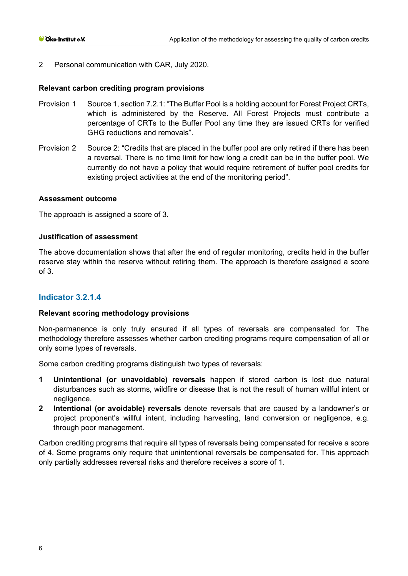2 Personal communication with CAR, July 2020.

#### **Relevant carbon crediting program provisions**

- Provision 1 Source 1, section 7.2.1: "The Buffer Pool is a holding account for Forest Project CRTs, which is administered by the Reserve. All Forest Projects must contribute a percentage of CRTs to the Buffer Pool any time they are issued CRTs for verified GHG reductions and removals".
- Provision 2 Source 2: "Credits that are placed in the buffer pool are only retired if there has been a reversal. There is no time limit for how long a credit can be in the buffer pool. We currently do not have a policy that would require retirement of buffer pool credits for existing project activities at the end of the monitoring period".

#### **Assessment outcome**

The approach is assigned a score of 3.

### **Justification of assessment**

The above documentation shows that after the end of regular monitoring, credits held in the buffer reserve stay within the reserve without retiring them. The approach is therefore assigned a score of 3.

## **Indicator 3.2.1.4**

#### **Relevant scoring methodology provisions**

Non-permanence is only truly ensured if all types of reversals are compensated for. The methodology therefore assesses whether carbon crediting programs require compensation of all or only some types of reversals.

Some carbon crediting programs distinguish two types of reversals:

- **1 Unintentional (or unavoidable) reversals** happen if stored carbon is lost due natural disturbances such as storms, wildfire or disease that is not the result of human willful intent or negligence.
- **2 Intentional (or avoidable) reversals** denote reversals that are caused by a landowner's or project proponent's willful intent, including harvesting, land conversion or negligence, e.g. through poor management.

Carbon crediting programs that require all types of reversals being compensated for receive a score of 4. Some programs only require that unintentional reversals be compensated for. This approach only partially addresses reversal risks and therefore receives a score of 1.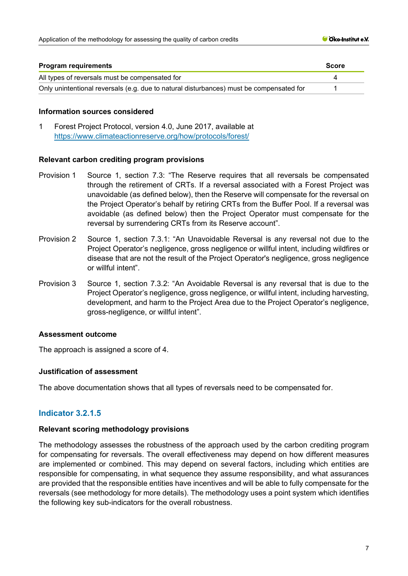| <b>Program requirements</b>                                                             | <b>Score</b> |
|-----------------------------------------------------------------------------------------|--------------|
| All types of reversals must be compensated for                                          |              |
| Only unintentional reversals (e.g. due to natural disturbances) must be compensated for |              |

#### **Information sources considered**

1 Forest Project Protocol, version 4.0, June 2017, available at <https://www.climateactionreserve.org/how/protocols/forest/>

#### **Relevant carbon crediting program provisions**

- Provision 1 Source 1, section 7.3: "The Reserve requires that all reversals be compensated through the retirement of CRTs. If a reversal associated with a Forest Project was unavoidable (as defined below), then the Reserve will compensate for the reversal on the Project Operator's behalf by retiring CRTs from the Buffer Pool. If a reversal was avoidable (as defined below) then the Project Operator must compensate for the reversal by surrendering CRTs from its Reserve account".
- Provision 2 Source 1, section 7.3.1: "An Unavoidable Reversal is any reversal not due to the Project Operator's negligence, gross negligence or willful intent, including wildfires or disease that are not the result of the Project Operator's negligence, gross negligence or willful intent".
- Provision 3 Source 1, section 7.3.2: "An Avoidable Reversal is any reversal that is due to the Project Operator's negligence, gross negligence, or willful intent, including harvesting, development, and harm to the Project Area due to the Project Operator's negligence, gross-negligence, or willful intent".

## **Assessment outcome**

The approach is assigned a score of 4.

## **Justification of assessment**

The above documentation shows that all types of reversals need to be compensated for.

# **Indicator 3.2.1.5**

#### **Relevant scoring methodology provisions**

The methodology assesses the robustness of the approach used by the carbon crediting program for compensating for reversals. The overall effectiveness may depend on how different measures are implemented or combined. This may depend on several factors, including which entities are responsible for compensating, in what sequence they assume responsibility, and what assurances are provided that the responsible entities have incentives and will be able to fully compensate for the reversals (see methodology for more details). The methodology uses a point system which identifies the following key sub-indicators for the overall robustness.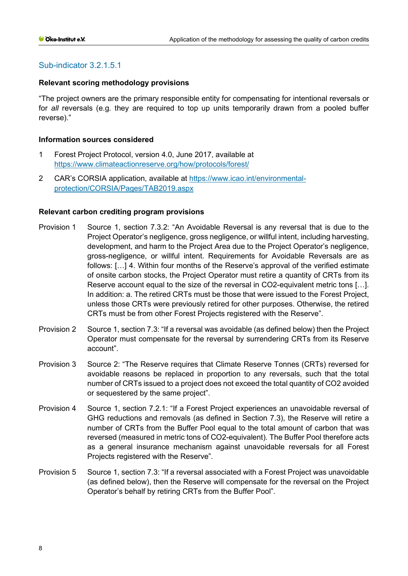### **Relevant scoring methodology provisions**

"The project owners are the primary responsible entity for compensating for intentional reversals or for *all* reversals (e.g. they are required to top up units temporarily drawn from a pooled buffer reverse)."

### **Information sources considered**

- 1 Forest Project Protocol, version 4.0, June 2017, available at <https://www.climateactionreserve.org/how/protocols/forest/>
- 2 CAR's CORSIA application, available at [https://www.icao.int/environmental](https://www.icao.int/environmental-protection/CORSIA/Pages/TAB2019.aspx)[protection/CORSIA/Pages/TAB2019.aspx](https://www.icao.int/environmental-protection/CORSIA/Pages/TAB2019.aspx)

#### **Relevant carbon crediting program provisions**

- Provision 1 Source 1, section 7.3.2: "An Avoidable Reversal is any reversal that is due to the Project Operator's negligence, gross negligence, or willful intent, including harvesting, development, and harm to the Project Area due to the Project Operator's negligence, gross-negligence, or willful intent. Requirements for Avoidable Reversals are as follows: […] 4. Within four months of the Reserve's approval of the verified estimate of onsite carbon stocks, the Project Operator must retire a quantity of CRTs from its Reserve account equal to the size of the reversal in CO2-equivalent metric tons […]. In addition: a. The retired CRTs must be those that were issued to the Forest Project, unless those CRTs were previously retired for other purposes. Otherwise, the retired CRTs must be from other Forest Projects registered with the Reserve".
- Provision 2 Source 1, section 7.3: "If a reversal was avoidable (as defined below) then the Project Operator must compensate for the reversal by surrendering CRTs from its Reserve account".
- Provision 3 Source 2: "The Reserve requires that Climate Reserve Tonnes (CRTs) reversed for avoidable reasons be replaced in proportion to any reversals, such that the total number of CRTs issued to a project does not exceed the total quantity of CO2 avoided or sequestered by the same project".
- Provision 4 Source 1, section 7.2.1: "If a Forest Project experiences an unavoidable reversal of GHG reductions and removals (as defined in Section 7.3), the Reserve will retire a number of CRTs from the Buffer Pool equal to the total amount of carbon that was reversed (measured in metric tons of CO2-equivalent). The Buffer Pool therefore acts as a general insurance mechanism against unavoidable reversals for all Forest Projects registered with the Reserve".
- Provision 5 Source 1, section 7.3: "If a reversal associated with a Forest Project was unavoidable (as defined below), then the Reserve will compensate for the reversal on the Project Operator's behalf by retiring CRTs from the Buffer Pool".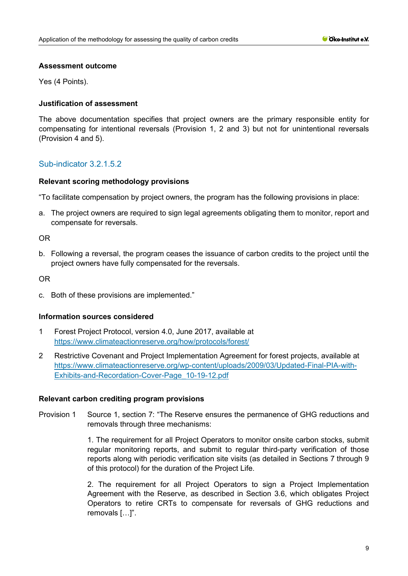### **Assessment outcome**

Yes (4 Points).

## **Justification of assessment**

The above documentation specifies that project owners are the primary responsible entity for compensating for intentional reversals (Provision 1, 2 and 3) but not for unintentional reversals (Provision 4 and 5).

# Sub-indicator 3.2.1.5.2

#### **Relevant scoring methodology provisions**

"To facilitate compensation by project owners, the program has the following provisions in place:

a. The project owners are required to sign legal agreements obligating them to monitor, report and compensate for reversals.

OR

b. Following a reversal, the program ceases the issuance of carbon credits to the project until the project owners have fully compensated for the reversals.

OR

c. Both of these provisions are implemented."

#### **Information sources considered**

- 1 Forest Project Protocol, version 4.0, June 2017, available at <https://www.climateactionreserve.org/how/protocols/forest/>
- 2 Restrictive Covenant and Project Implementation Agreement for forest projects, available at [https://www.climateactionreserve.org/wp-content/uploads/2009/03/Updated-Final-PIA-with-](https://www.climateactionreserve.org/wp-content/uploads/2009/03/Updated-Final-PIA-with-Exhibits-and-Recordation-Cover-Page_10-19-12.pdf)[Exhibits-and-Recordation-Cover-Page\\_10-19-12.pdf](https://www.climateactionreserve.org/wp-content/uploads/2009/03/Updated-Final-PIA-with-Exhibits-and-Recordation-Cover-Page_10-19-12.pdf)

#### **Relevant carbon crediting program provisions**

Provision 1 Source 1, section 7: "The Reserve ensures the permanence of GHG reductions and removals through three mechanisms:

> 1. The requirement for all Project Operators to monitor onsite carbon stocks, submit regular monitoring reports, and submit to regular third-party verification of those reports along with periodic verification site visits (as detailed in Sections 7 through 9 of this protocol) for the duration of the Project Life.

> 2. The requirement for all Project Operators to sign a Project Implementation Agreement with the Reserve, as described in Section 3.6, which obligates Project Operators to retire CRTs to compensate for reversals of GHG reductions and removals […]".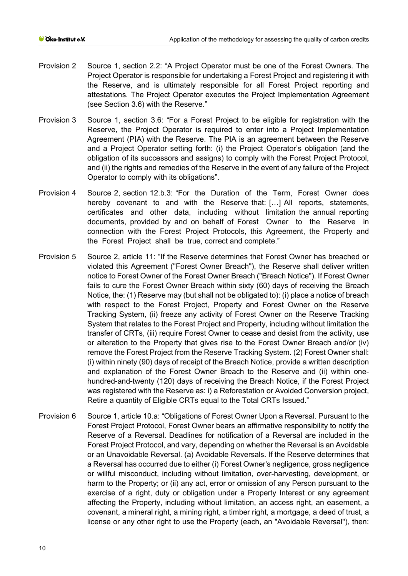- Provision 2 Source 1, section 2.2: "A Project Operator must be one of the Forest Owners. The Project Operator is responsible for undertaking a Forest Project and registering it with the Reserve, and is ultimately responsible for all Forest Project reporting and attestations. The Project Operator executes the Project Implementation Agreement (see Section 3.6) with the Reserve."
- Provision 3 Source 1, section 3.6: "For a Forest Project to be eligible for registration with the Reserve, the Project Operator is required to enter into a Project Implementation Agreement (PIA) with the Reserve. The PIA is an agreement between the Reserve and a Project Operator setting forth: (i) the Project Operator's obligation (and the obligation of its successors and assigns) to comply with the Forest Project Protocol, and (ii) the rights and remedies of the Reserve in the event of any failure of the Project Operator to comply with its obligations".
- Provision 4 Source 2, section 12.b.3: "For the Duration of the Term, Forest Owner does hereby covenant to and with the Reserve that: […] All reports, statements, certificates and other data, including without limitation the annual reporting documents, provided by and on behalf of Forest Owner to the Reserve in connection with the Forest Project Protocols, this Agreement, the Property and the Forest Project shall be true, correct and complete."
- Provision 5 Source 2, article 11: "If the Reserve determines that Forest Owner has breached or violated this Agreement ("Forest Owner Breach"), the Reserve shall deliver written notice to Forest Owner of the Forest Owner Breach ("Breach Notice"). If Forest Owner fails to cure the Forest Owner Breach within sixty (60) days of receiving the Breach Notice, the: (1) Reserve may (but shall not be obligated to): (i) place a notice of breach with respect to the Forest Project, Property and Forest Owner on the Reserve Tracking System, (ii) freeze any activity of Forest Owner on the Reserve Tracking System that relates to the Forest Project and Property, including without limitation the transfer of CRTs, (iii) require Forest Owner to cease and desist from the activity, use or alteration to the Property that gives rise to the Forest Owner Breach and/or (iv) remove the Forest Project from the Reserve Tracking System. (2) Forest Owner shall: (i) within ninety (90) days of receipt of the Breach Notice, provide a written description and explanation of the Forest Owner Breach to the Reserve and (ii) within onehundred-and-twenty (120) days of receiving the Breach Notice, if the Forest Project was registered with the Reserve as: i) a Reforestation or Avoided Conversion project, Retire a quantity of Eligible CRTs equal to the Total CRTs Issued."
- Provision 6 Source 1, article 10.a: "Obligations of Forest Owner Upon a Reversal. Pursuant to the Forest Project Protocol, Forest Owner bears an affirmative responsibility to notify the Reserve of a Reversal. Deadlines for notification of a Reversal are included in the Forest Project Protocol, and vary, depending on whether the Reversal is an Avoidable or an Unavoidable Reversal. (a) Avoidable Reversals. If the Reserve determines that a Reversal has occurred due to either (i) Forest Owner's negligence, gross negligence or willful misconduct, including without limitation, over-harvesting, development, or harm to the Property; or (ii) any act, error or omission of any Person pursuant to the exercise of a right, duty or obligation under a Property Interest or any agreement affecting the Property, including without limitation, an access right, an easement, a covenant, a mineral right, a mining right, a timber right, a mortgage, a deed of trust, a license or any other right to use the Property (each, an "Avoidable Reversal"), then: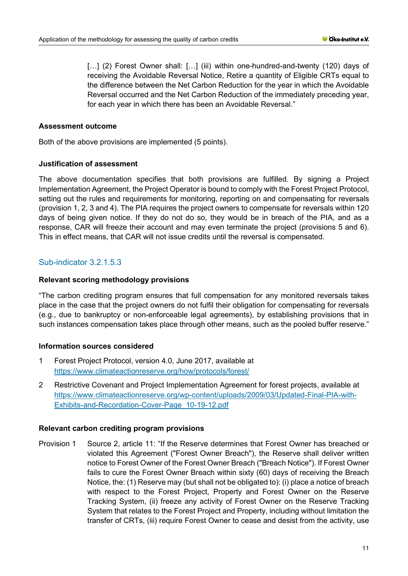[...] (2) Forest Owner shall: [...] (iii) within one-hundred-and-twenty (120) days of receiving the Avoidable Reversal Notice, Retire a quantity of Eligible CRTs equal to the difference between the Net Carbon Reduction for the year in which the Avoidable Reversal occurred and the Net Carbon Reduction of the immediately preceding year, for each year in which there has been an Avoidable Reversal."

#### **Assessment outcome**

Both of the above provisions are implemented (5 points).

#### **Justification of assessment**

The above documentation specifies that both provisions are fulfilled. By signing a Project Implementation Agreement, the Project Operator is bound to comply with the Forest Project Protocol, setting out the rules and requirements for monitoring, reporting on and compensating for reversals (provision 1, 2, 3 and 4). The PIA requires the project owners to compensate for reversals within 120 days of being given notice. If they do not do so, they would be in breach of the PIA, and as a response, CAR will freeze their account and may even terminate the project (provisions 5 and 6). This in effect means, that CAR will not issue credits until the reversal is compensated.

# Sub-indicator 3.2.1.5.3

#### **Relevant scoring methodology provisions**

"The carbon crediting program ensures that full compensation for any monitored reversals takes place in the case that the project owners do not fulfil their obligation for compensating for reversals (e.g., due to bankruptcy or non-enforceable legal agreements), by establishing provisions that in such instances compensation takes place through other means, such as the pooled buffer reserve."

## **Information sources considered**

- 1 Forest Project Protocol, version 4.0, June 2017, available at <https://www.climateactionreserve.org/how/protocols/forest/>
- 2 Restrictive Covenant and Project Implementation Agreement for forest projects, available at [https://www.climateactionreserve.org/wp-content/uploads/2009/03/Updated-Final-PIA-with-](https://www.climateactionreserve.org/wp-content/uploads/2009/03/Updated-Final-PIA-with-Exhibits-and-Recordation-Cover-Page_10-19-12.pdf)[Exhibits-and-Recordation-Cover-Page\\_10-19-12.pdf](https://www.climateactionreserve.org/wp-content/uploads/2009/03/Updated-Final-PIA-with-Exhibits-and-Recordation-Cover-Page_10-19-12.pdf)

## **Relevant carbon crediting program provisions**

Provision 1 Source 2, article 11: "If the Reserve determines that Forest Owner has breached or violated this Agreement ("Forest Owner Breach"), the Reserve shall deliver written notice to Forest Owner of the Forest Owner Breach ("Breach Notice"). If Forest Owner fails to cure the Forest Owner Breach within sixty (60) days of receiving the Breach Notice, the: (1) Reserve may (but shall not be obligated to): (i) place a notice of breach with respect to the Forest Project, Property and Forest Owner on the Reserve Tracking System, (ii) freeze any activity of Forest Owner on the Reserve Tracking System that relates to the Forest Project and Property, including without limitation the transfer of CRTs, (iii) require Forest Owner to cease and desist from the activity, use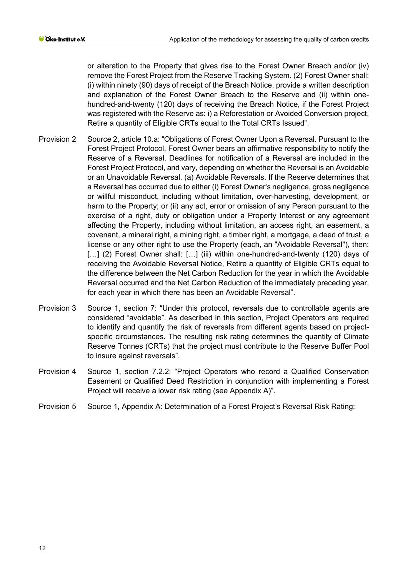or alteration to the Property that gives rise to the Forest Owner Breach and/or (iv) remove the Forest Project from the Reserve Tracking System. (2) Forest Owner shall: (i) within ninety (90) days of receipt of the Breach Notice, provide a written description and explanation of the Forest Owner Breach to the Reserve and (ii) within onehundred-and-twenty (120) days of receiving the Breach Notice, if the Forest Project was registered with the Reserve as: i) a Reforestation or Avoided Conversion project, Retire a quantity of Eligible CRTs equal to the Total CRTs Issued".

- Provision 2 Source 2, article 10.a: "Obligations of Forest Owner Upon a Reversal. Pursuant to the Forest Project Protocol, Forest Owner bears an affirmative responsibility to notify the Reserve of a Reversal. Deadlines for notification of a Reversal are included in the Forest Project Protocol, and vary, depending on whether the Reversal is an Avoidable or an Unavoidable Reversal. (a) Avoidable Reversals. If the Reserve determines that a Reversal has occurred due to either (i) Forest Owner's negligence, gross negligence or willful misconduct, including without limitation, over-harvesting, development, or harm to the Property; or (ii) any act, error or omission of any Person pursuant to the exercise of a right, duty or obligation under a Property Interest or any agreement affecting the Property, including without limitation, an access right, an easement, a covenant, a mineral right, a mining right, a timber right, a mortgage, a deed of trust, a license or any other right to use the Property (each, an "Avoidable Reversal"), then: [...] (2) Forest Owner shall: [...] (iii) within one-hundred-and-twenty (120) days of receiving the Avoidable Reversal Notice, Retire a quantity of Eligible CRTs equal to the difference between the Net Carbon Reduction for the year in which the Avoidable Reversal occurred and the Net Carbon Reduction of the immediately preceding year, for each year in which there has been an Avoidable Reversal".
- Provision 3 Source 1, section 7: "Under this protocol, reversals due to controllable agents are considered "avoidable". As described in this section, Project Operators are required to identify and quantify the risk of reversals from different agents based on projectspecific circumstances. The resulting risk rating determines the quantity of Climate Reserve Tonnes (CRTs) that the project must contribute to the Reserve Buffer Pool to insure against reversals".
- Provision 4 Source 1, section 7.2.2: "Project Operators who record a Qualified Conservation Easement or Qualified Deed Restriction in conjunction with implementing a Forest Project will receive a lower risk rating (see Appendix A)".
- Provision 5 Source 1, Appendix A: Determination of a Forest Project's Reversal Risk Rating: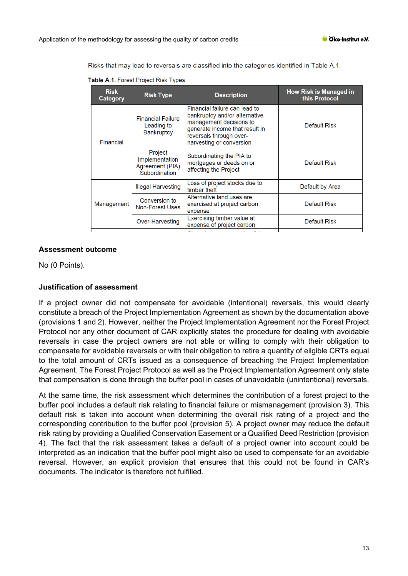Risks that may lead to reversals are classified into the categories identified in Table A.1.

Table A.1. Forest Project Risk Types

| <b>Risk</b><br>Category | <b>Risk Type</b>                                              | <b>Description</b>                                                                                                                                                                 | <b>How Risk is Managed in</b><br>this Protocol |
|-------------------------|---------------------------------------------------------------|------------------------------------------------------------------------------------------------------------------------------------------------------------------------------------|------------------------------------------------|
| Financial               | <b>Financial Failure</b><br>Leading to<br><b>Bankruptcy</b>   | Financial failure can lead to<br>bankruptcy and/or alternative<br>management decisions to<br>generate income that result in<br>reversals through over-<br>harvesting or conversion | <b>Default Risk</b>                            |
|                         | Project<br>Implementation<br>Agreement (PIA)<br>Subordination | Subordinating the PIA to<br>mortgages or deeds on or<br>affecting the Project                                                                                                      | <b>Default Risk</b>                            |
| Management              | Illegal Harvesting                                            | Loss of project stocks due to<br>timber theft                                                                                                                                      | Default by Area                                |
|                         | Conversion to<br>Non-Forest Uses                              | Alternative land uses are<br>exercised at project carbon<br>expense                                                                                                                | <b>Default Risk</b>                            |
|                         | Over-Harvesting                                               | Exercising timber value at<br>expense of project carbon                                                                                                                            | <b>Default Risk</b>                            |
|                         |                                                               |                                                                                                                                                                                    |                                                |

#### **Assessment outcome**

No (0 Points).

#### **Justification of assessment**

If a project owner did not compensate for avoidable (intentional) reversals, this would clearly constitute a breach of the Project Implementation Agreement as shown by the documentation above (provisions 1 and 2). However, neither the Project Implementation Agreement nor the Forest Project Protocol nor any other document of CAR explicitly states the procedure for dealing with avoidable reversals in case the project owners are not able or willing to comply with their obligation to compensate for avoidable reversals or with their obligation to retire a quantity of eligible CRTs equal to the total amount of CRTs issued as a consequence of breaching the Project Implementation Agreement. The Forest Project Protocol as well as the Project Implementation Agreement only state that compensation is done through the buffer pool in cases of unavoidable (unintentional) reversals.

At the same time, the risk assessment which determines the contribution of a forest project to the buffer pool includes a default risk relating to financial failure or mismanagement (provision 3). This default risk is taken into account when determining the overall risk rating of a project and the corresponding contribution to the buffer pool (provision 5). A project owner may reduce the default risk rating by providing a Qualified Conservation Easement or a Qualified Deed Restriction (provision 4). The fact that the risk assessment takes a default of a project owner into account could be interpreted as an indication that the buffer pool might also be used to compensate for an avoidable reversal. However, an explicit provision that ensures that this could not be found in CAR's documents. The indicator is therefore not fulfilled.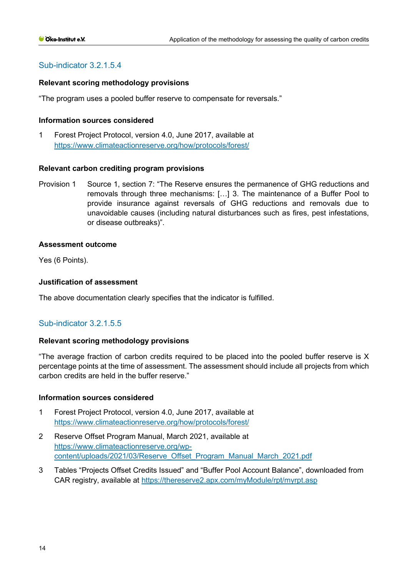#### **Relevant scoring methodology provisions**

"The program uses a pooled buffer reserve to compensate for reversals."

#### **Information sources considered**

1 Forest Project Protocol, version 4.0, June 2017, available at <https://www.climateactionreserve.org/how/protocols/forest/>

#### **Relevant carbon crediting program provisions**

Provision 1 Source 1, section 7: "The Reserve ensures the permanence of GHG reductions and removals through three mechanisms: […] 3. The maintenance of a Buffer Pool to provide insurance against reversals of GHG reductions and removals due to unavoidable causes (including natural disturbances such as fires, pest infestations, or disease outbreaks)".

#### **Assessment outcome**

Yes (6 Points).

#### **Justification of assessment**

The above documentation clearly specifies that the indicator is fulfilled.

## Sub-indicator 3.2.1.5.5

#### **Relevant scoring methodology provisions**

"The average fraction of carbon credits required to be placed into the pooled buffer reserve is X percentage points at the time of assessment. The assessment should include all projects from which carbon credits are held in the buffer reserve."

#### **Information sources considered**

- 1 Forest Project Protocol, version 4.0, June 2017, available at <https://www.climateactionreserve.org/how/protocols/forest/>
- 2 Reserve Offset Program Manual, March 2021, available at [https://www.climateactionreserve.org/wp](https://www.climateactionreserve.org/wp-content/uploads/2021/03/Reserve_Offset_Program_Manual_March_2021.pdf)[content/uploads/2021/03/Reserve\\_Offset\\_Program\\_Manual\\_March\\_2021.pdf](https://www.climateactionreserve.org/wp-content/uploads/2021/03/Reserve_Offset_Program_Manual_March_2021.pdf)
- 3 Tables "Projects Offset Credits Issued" and "Buffer Pool Account Balance", downloaded from CAR registry, available at<https://thereserve2.apx.com/myModule/rpt/myrpt.asp>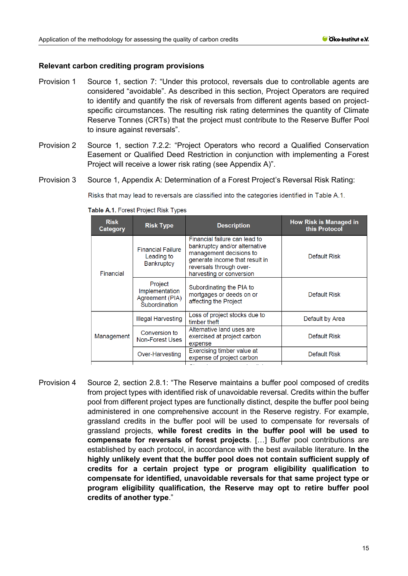### **Relevant carbon crediting program provisions**

- Provision 1 Source 1, section 7: "Under this protocol, reversals due to controllable agents are considered "avoidable". As described in this section, Project Operators are required to identify and quantify the risk of reversals from different agents based on projectspecific circumstances. The resulting risk rating determines the quantity of Climate Reserve Tonnes (CRTs) that the project must contribute to the Reserve Buffer Pool to insure against reversals".
- Provision 2 Source 1, section 7.2.2: "Project Operators who record a Qualified Conservation Easement or Qualified Deed Restriction in conjunction with implementing a Forest Project will receive a lower risk rating (see Appendix A)".
- Provision 3 Source 1, Appendix A: Determination of a Forest Project's Reversal Risk Rating:

Risks that may lead to reversals are classified into the categories identified in Table A.1.

| <b>Risk</b><br>Category                                                                        | <b>Risk Type</b>                                              | <b>Description</b>                                                                                                                                                                 | <b>How Risk is Managed in</b><br>this Protocol |  |
|------------------------------------------------------------------------------------------------|---------------------------------------------------------------|------------------------------------------------------------------------------------------------------------------------------------------------------------------------------------|------------------------------------------------|--|
| Financial                                                                                      | <b>Financial Failure</b><br>Leading to<br><b>Bankruptcy</b>   | Financial failure can lead to<br>bankruptcy and/or alternative<br>management decisions to<br>generate income that result in<br>reversals through over-<br>harvesting or conversion | Default Risk                                   |  |
|                                                                                                | Project<br>Implementation<br>Agreement (PIA)<br>Subordination | Subordinating the PIA to<br>mortgages or deeds on or<br>affecting the Project                                                                                                      | Default Risk                                   |  |
| <b>Illegal Harvesting</b><br>Conversion to<br>Management<br>Non-Forest Uses<br>Over-Harvesting | Loss of project stocks due to<br>timber theft                 | Default by Area                                                                                                                                                                    |                                                |  |
|                                                                                                |                                                               | Alternative land uses are<br>exercised at project carbon<br>expense                                                                                                                | Default Risk                                   |  |
|                                                                                                |                                                               | Exercising timber value at<br>expense of project carbon                                                                                                                            | Default Risk                                   |  |
|                                                                                                |                                                               |                                                                                                                                                                                    |                                                |  |

Table A.1. Forest Project Risk Types

Provision 4 Source 2, section 2.8.1: "The Reserve maintains a buffer pool composed of credits from project types with identified risk of unavoidable reversal. Credits within the buffer pool from different project types are functionally distinct, despite the buffer pool being administered in one comprehensive account in the Reserve registry. For example, grassland credits in the buffer pool will be used to compensate for reversals of grassland projects, **while forest credits in the buffer pool will be used to compensate for reversals of forest projects**. […] Buffer pool contributions are established by each protocol, in accordance with the best available literature. **In the highly unlikely event that the buffer pool does not contain sufficient supply of credits for a certain project type or program eligibility qualification to compensate for identified, unavoidable reversals for that same project type or program eligibility qualification, the Reserve may opt to retire buffer pool credits of another type**."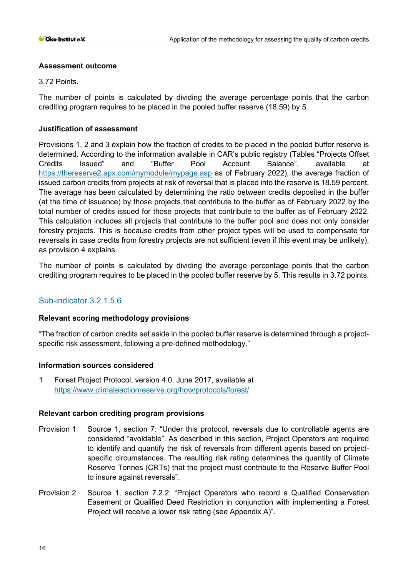### **Assessment outcome**

### 3.72 Points.

The number of points is calculated by dividing the average percentage points that the carbon crediting program requires to be placed in the pooled buffer reserve (18.59) by 5.

## **Justification of assessment**

Provisions 1, 2 and 3 explain how the fraction of credits to be placed in the pooled buffer reserve is determined. According to the information available in CAR's public registry (Tables "Projects Offset Credits Issued" and "Buffer Pool Account Balance", available at <https://thereserve2.apx.com/mymodule/mypage.asp> as of February 2022), the average fraction of issued carbon credits from projects at risk of reversal that is placed into the reserve is 18.59 percent. The average has been calculated by determining the ratio between credits deposited in the buffer (at the time of issuance) by those projects that contribute to the buffer as of February 2022 by the total number of credits issued for those projects that contribute to the buffer as of February 2022. This calculation includes all projects that contribute to the buffer pool and does not only consider forestry projects. This is because credits from other project types will be used to compensate for reversals in case credits from forestry projects are not sufficient (even if this event may be unlikely), as provision 4 explains.

The number of points is calculated by dividing the average percentage points that the carbon crediting program requires to be placed in the pooled buffer reserve by 5. This results in 3.72 points.

# Sub-indicator 3.2.1.5.6

## **Relevant scoring methodology provisions**

"The fraction of carbon credits set aside in the pooled buffer reserve is determined through a projectspecific risk assessment, following a pre-defined methodology."

## **Information sources considered**

1 Forest Project Protocol, version 4.0, June 2017, available at <https://www.climateactionreserve.org/how/protocols/forest/>

## **Relevant carbon crediting program provisions**

- Provision 1 Source 1, section 7: "Under this protocol, reversals due to controllable agents are considered "avoidable". As described in this section, Project Operators are required to identify and quantify the risk of reversals from different agents based on projectspecific circumstances. The resulting risk rating determines the quantity of Climate Reserve Tonnes (CRTs) that the project must contribute to the Reserve Buffer Pool to insure against reversals".
- Provision 2 Source 1, section 7.2.2: "Project Operators who record a Qualified Conservation Easement or Qualified Deed Restriction in conjunction with implementing a Forest Project will receive a lower risk rating (see Appendix A)".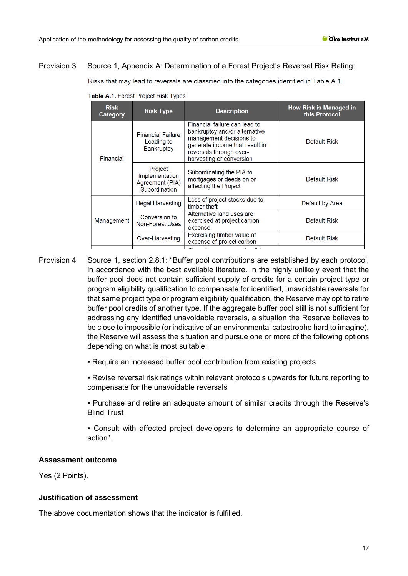## Provision 3 Source 1, Appendix A: Determination of a Forest Project's Reversal Risk Rating:

Risks that may lead to reversals are classified into the categories identified in Table A.1.

| <b>Risk</b><br>Category | <b>Risk Type</b>                                              | <b>Description</b>                                                                                                                                                                 | <b>How Risk is Managed in</b><br>this Protocol |
|-------------------------|---------------------------------------------------------------|------------------------------------------------------------------------------------------------------------------------------------------------------------------------------------|------------------------------------------------|
| Financial               | <b>Financial Failure</b><br>Leading to<br><b>Bankruptcy</b>   | Financial failure can lead to<br>bankruptcy and/or alternative<br>management decisions to<br>generate income that result in<br>reversals through over-<br>harvesting or conversion | Default Risk                                   |
|                         | Project<br>Implementation<br>Agreement (PIA)<br>Subordination | Subordinating the PIA to<br>mortgages or deeds on or<br>affecting the Project                                                                                                      | Default Risk                                   |
| Management              | <b>Illegal Harvesting</b>                                     | Loss of project stocks due to<br>timber theft                                                                                                                                      | Default by Area                                |
|                         | Conversion to<br>Non-Forest Uses                              | Alternative land uses are<br>exercised at project carbon<br>expense                                                                                                                | Default Risk                                   |
|                         | Over-Harvesting                                               | Exercising timber value at<br>expense of project carbon                                                                                                                            | Default Risk                                   |
|                         |                                                               |                                                                                                                                                                                    |                                                |

Table A.1. Forest Project Risk Types

- Provision 4 Source 1, section 2.8.1: "Buffer pool contributions are established by each protocol, in accordance with the best available literature. In the highly unlikely event that the buffer pool does not contain sufficient supply of credits for a certain project type or program eligibility qualification to compensate for identified, unavoidable reversals for that same project type or program eligibility qualification, the Reserve may opt to retire buffer pool credits of another type. If the aggregate buffer pool still is not sufficient for addressing any identified unavoidable reversals, a situation the Reserve believes to be close to impossible (or indicative of an environmental catastrophe hard to imagine), the Reserve will assess the situation and pursue one or more of the following options depending on what is most suitable:
	- Require an increased buffer pool contribution from existing projects

▪ Revise reversal risk ratings within relevant protocols upwards for future reporting to compensate for the unavoidable reversals

▪ Purchase and retire an adequate amount of similar credits through the Reserve's Blind Trust

▪ Consult with affected project developers to determine an appropriate course of action".

## **Assessment outcome**

Yes (2 Points).

## **Justification of assessment**

The above documentation shows that the indicator is fulfilled.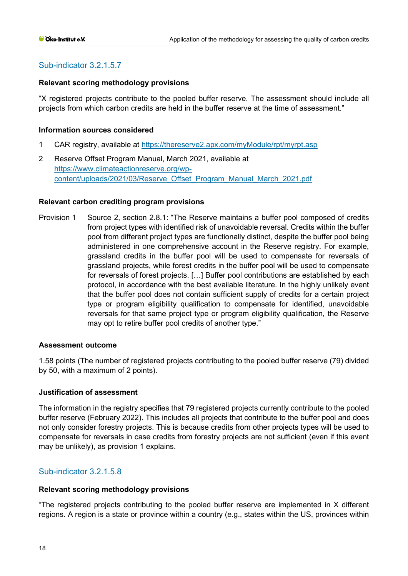### **Relevant scoring methodology provisions**

"X registered projects contribute to the pooled buffer reserve. The assessment should include all projects from which carbon credits are held in the buffer reserve at the time of assessment."

#### **Information sources considered**

- 1 CAR registry, available at<https://thereserve2.apx.com/myModule/rpt/myrpt.asp>
- 2 Reserve Offset Program Manual, March 2021, available at [https://www.climateactionreserve.org/wp](https://www.climateactionreserve.org/wp-content/uploads/2021/03/Reserve_Offset_Program_Manual_March_2021.pdf)[content/uploads/2021/03/Reserve\\_Offset\\_Program\\_Manual\\_March\\_2021.pdf](https://www.climateactionreserve.org/wp-content/uploads/2021/03/Reserve_Offset_Program_Manual_March_2021.pdf)

#### **Relevant carbon crediting program provisions**

Provision 1 Source 2, section 2.8.1: "The Reserve maintains a buffer pool composed of credits from project types with identified risk of unavoidable reversal. Credits within the buffer pool from different project types are functionally distinct, despite the buffer pool being administered in one comprehensive account in the Reserve registry. For example, grassland credits in the buffer pool will be used to compensate for reversals of grassland projects, while forest credits in the buffer pool will be used to compensate for reversals of forest projects. […] Buffer pool contributions are established by each protocol, in accordance with the best available literature. In the highly unlikely event that the buffer pool does not contain sufficient supply of credits for a certain project type or program eligibility qualification to compensate for identified, unavoidable reversals for that same project type or program eligibility qualification, the Reserve may opt to retire buffer pool credits of another type."

## **Assessment outcome**

1.58 points (The number of registered projects contributing to the pooled buffer reserve (79) divided by 50, with a maximum of 2 points).

## **Justification of assessment**

The information in the registry specifies that 79 registered projects currently contribute to the pooled buffer reserve (February 2022). This includes all projects that contribute to the buffer pool and does not only consider forestry projects. This is because credits from other projects types will be used to compensate for reversals in case credits from forestry projects are not sufficient (even if this event may be unlikely), as provision 1 explains.

## Sub-indicator 3.2.1.5.8

## **Relevant scoring methodology provisions**

"The registered projects contributing to the pooled buffer reserve are implemented in X different regions. A region is a state or province within a country (e.g., states within the US, provinces within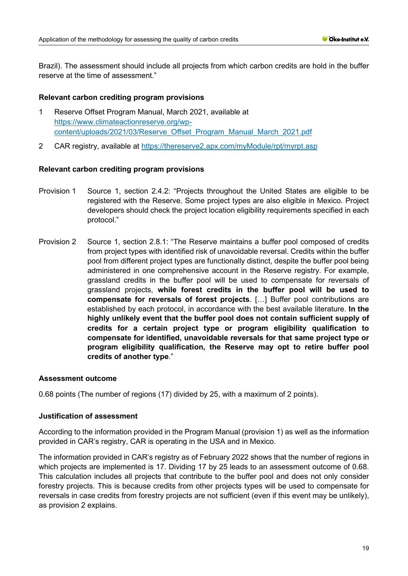Brazil). The assessment should include all projects from which carbon credits are hold in the buffer reserve at the time of assessment."

#### **Relevant carbon crediting program provisions**

- 1 Reserve Offset Program Manual, March 2021, available at [https://www.climateactionreserve.org/wp](https://www.climateactionreserve.org/wp-content/uploads/2021/03/Reserve_Offset_Program_Manual_March_2021.pdf)[content/uploads/2021/03/Reserve\\_Offset\\_Program\\_Manual\\_March\\_2021.pdf](https://www.climateactionreserve.org/wp-content/uploads/2021/03/Reserve_Offset_Program_Manual_March_2021.pdf)
- 2 CAR registry, available at<https://thereserve2.apx.com/myModule/rpt/myrpt.asp>

#### **Relevant carbon crediting program provisions**

- Provision 1 Source 1, section 2.4.2: "Projects throughout the United States are eligible to be registered with the Reserve. Some project types are also eligible in Mexico. Project developers should check the project location eligibility requirements specified in each protocol."
- Provision 2 Source 1, section 2.8.1: "The Reserve maintains a buffer pool composed of credits from project types with identified risk of unavoidable reversal. Credits within the buffer pool from different project types are functionally distinct, despite the buffer pool being administered in one comprehensive account in the Reserve registry. For example, grassland credits in the buffer pool will be used to compensate for reversals of grassland projects, **while forest credits in the buffer pool will be used to compensate for reversals of forest projects**. […] Buffer pool contributions are established by each protocol, in accordance with the best available literature. **In the highly unlikely event that the buffer pool does not contain sufficient supply of credits for a certain project type or program eligibility qualification to compensate for identified, unavoidable reversals for that same project type or program eligibility qualification, the Reserve may opt to retire buffer pool credits of another type**."

#### **Assessment outcome**

0.68 points (The number of regions (17) divided by 25, with a maximum of 2 points).

## **Justification of assessment**

According to the information provided in the Program Manual (provision 1) as well as the information provided in CAR's registry, CAR is operating in the USA and in Mexico.

The information provided in CAR's registry as of February 2022 shows that the number of regions in which projects are implemented is 17. Dividing 17 by 25 leads to an assessment outcome of 0.68. This calculation includes all projects that contribute to the buffer pool and does not only consider forestry projects. This is because credits from other projects types will be used to compensate for reversals in case credits from forestry projects are not sufficient (even if this event may be unlikely), as provision 2 explains.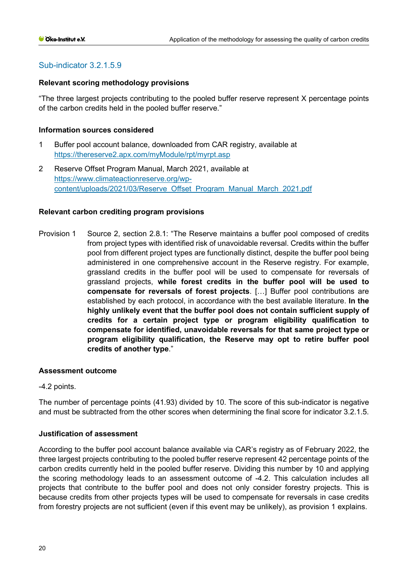### **Relevant scoring methodology provisions**

"The three largest projects contributing to the pooled buffer reserve represent X percentage points of the carbon credits held in the pooled buffer reserve."

#### **Information sources considered**

- 1 Buffer pool account balance, downloaded from CAR registry, available at <https://thereserve2.apx.com/myModule/rpt/myrpt.asp>
- 2 Reserve Offset Program Manual, March 2021, available at [https://www.climateactionreserve.org/wp](https://www.climateactionreserve.org/wp-content/uploads/2021/03/Reserve_Offset_Program_Manual_March_2021.pdf)[content/uploads/2021/03/Reserve\\_Offset\\_Program\\_Manual\\_March\\_2021.pdf](https://www.climateactionreserve.org/wp-content/uploads/2021/03/Reserve_Offset_Program_Manual_March_2021.pdf)

#### **Relevant carbon crediting program provisions**

Provision 1 Source 2, section 2.8.1: "The Reserve maintains a buffer pool composed of credits from project types with identified risk of unavoidable reversal. Credits within the buffer pool from different project types are functionally distinct, despite the buffer pool being administered in one comprehensive account in the Reserve registry. For example, grassland credits in the buffer pool will be used to compensate for reversals of grassland projects, **while forest credits in the buffer pool will be used to compensate for reversals of forest projects**. […] Buffer pool contributions are established by each protocol, in accordance with the best available literature. **In the highly unlikely event that the buffer pool does not contain sufficient supply of credits for a certain project type or program eligibility qualification to compensate for identified, unavoidable reversals for that same project type or program eligibility qualification, the Reserve may opt to retire buffer pool credits of another type**."

## **Assessment outcome**

-4.2 points.

The number of percentage points (41.93) divided by 10. The score of this sub-indicator is negative and must be subtracted from the other scores when determining the final score for indicator 3.2.1.5.

## **Justification of assessment**

According to the buffer pool account balance available via CAR's registry as of February 2022, the three largest projects contributing to the pooled buffer reserve represent 42 percentage points of the carbon credits currently held in the pooled buffer reserve. Dividing this number by 10 and applying the scoring methodology leads to an assessment outcome of -4.2. This calculation includes all projects that contribute to the buffer pool and does not only consider forestry projects. This is because credits from other projects types will be used to compensate for reversals in case credits from forestry projects are not sufficient (even if this event may be unlikely), as provision 1 explains.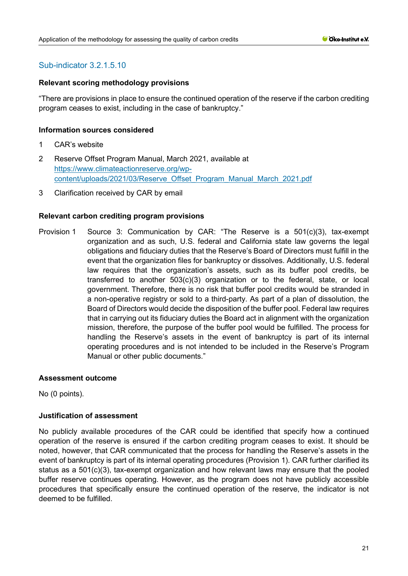### **Relevant scoring methodology provisions**

"There are provisions in place to ensure the continued operation of the reserve if the carbon crediting program ceases to exist, including in the case of bankruptcy."

#### **Information sources considered**

- 1 CAR's website
- 2 Reserve Offset Program Manual, March 2021, available at [https://www.climateactionreserve.org/wp](https://www.climateactionreserve.org/wp-content/uploads/2021/03/Reserve_Offset_Program_Manual_March_2021.pdf)[content/uploads/2021/03/Reserve\\_Offset\\_Program\\_Manual\\_March\\_2021.pdf](https://www.climateactionreserve.org/wp-content/uploads/2021/03/Reserve_Offset_Program_Manual_March_2021.pdf)
- 3 Clarification received by CAR by email

#### **Relevant carbon crediting program provisions**

Provision 1 Source 3: Communication by CAR: "The Reserve is a 501(c)(3), tax-exempt organization and as such, U.S. federal and California state law governs the legal obligations and fiduciary duties that the Reserve's Board of Directors must fulfill in the event that the organization files for bankruptcy or dissolves. Additionally, U.S. federal law requires that the organization's assets, such as its buffer pool credits, be transferred to another 503(c)(3) organization or to the federal, state, or local government. Therefore, there is no risk that buffer pool credits would be stranded in a non-operative registry or sold to a third-party. As part of a plan of dissolution, the Board of Directors would decide the disposition of the buffer pool. Federal law requires that in carrying out its fiduciary duties the Board act in alignment with the organization mission, therefore, the purpose of the buffer pool would be fulfilled. The process for handling the Reserve's assets in the event of bankruptcy is part of its internal operating procedures and is not intended to be included in the Reserve's Program Manual or other public documents."

#### **Assessment outcome**

No (0 points).

## **Justification of assessment**

No publicly available procedures of the CAR could be identified that specify how a continued operation of the reserve is ensured if the carbon crediting program ceases to exist. It should be noted, however, that CAR communicated that the process for handling the Reserve's assets in the event of bankruptcy is part of its internal operating procedures (Provision 1). CAR further clarified its status as a 501(c)(3), tax-exempt organization and how relevant laws may ensure that the pooled buffer reserve continues operating. However, as the program does not have publicly accessible procedures that specifically ensure the continued operation of the reserve, the indicator is not deemed to be fulfilled.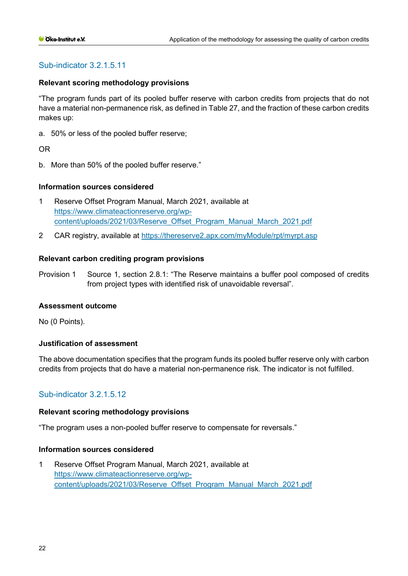### **Relevant scoring methodology provisions**

"The program funds part of its pooled buffer reserve with carbon credits from projects that do not have a material non-permanence risk, as defined in Table 27, and the fraction of these carbon credits makes up:

a. 50% or less of the pooled buffer reserve;

## OR

b. More than 50% of the pooled buffer reserve."

#### **Information sources considered**

- 1 Reserve Offset Program Manual, March 2021, available at [https://www.climateactionreserve.org/wp](https://www.climateactionreserve.org/wp-content/uploads/2021/03/Reserve_Offset_Program_Manual_March_2021.pdf)[content/uploads/2021/03/Reserve\\_Offset\\_Program\\_Manual\\_March\\_2021.pdf](https://www.climateactionreserve.org/wp-content/uploads/2021/03/Reserve_Offset_Program_Manual_March_2021.pdf)
- 2 CAR registry, available at<https://thereserve2.apx.com/myModule/rpt/myrpt.asp>

#### **Relevant carbon crediting program provisions**

Provision 1 Source 1, section 2.8.1: "The Reserve maintains a buffer pool composed of credits from project types with identified risk of unavoidable reversal".

#### **Assessment outcome**

No (0 Points).

## **Justification of assessment**

The above documentation specifies that the program funds its pooled buffer reserve only with carbon credits from projects that do have a material non-permanence risk. The indicator is not fulfilled.

## Sub-indicator 3.2.1.5.12

#### **Relevant scoring methodology provisions**

"The program uses a non-pooled buffer reserve to compensate for reversals."

#### **Information sources considered**

1 Reserve Offset Program Manual, March 2021, available at [https://www.climateactionreserve.org/wp](https://www.climateactionreserve.org/wp-content/uploads/2021/03/Reserve_Offset_Program_Manual_March_2021.pdf)[content/uploads/2021/03/Reserve\\_Offset\\_Program\\_Manual\\_March\\_2021.pdf](https://www.climateactionreserve.org/wp-content/uploads/2021/03/Reserve_Offset_Program_Manual_March_2021.pdf)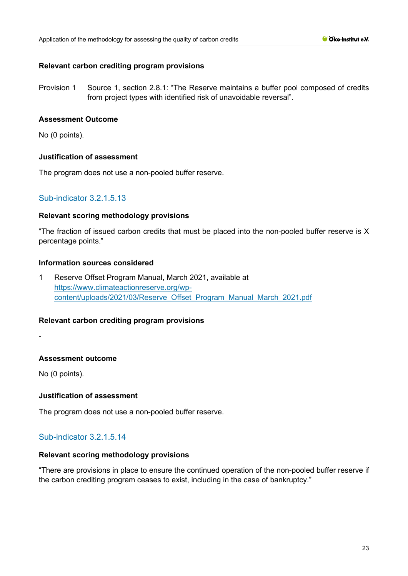#### **Relevant carbon crediting program provisions**

Provision 1 Source 1, section 2.8.1: "The Reserve maintains a buffer pool composed of credits from project types with identified risk of unavoidable reversal".

#### **Assessment Outcome**

No (0 points).

### **Justification of assessment**

The program does not use a non-pooled buffer reserve.

## Sub-indicator 3.2.1.5.13

#### **Relevant scoring methodology provisions**

"The fraction of issued carbon credits that must be placed into the non-pooled buffer reserve is X percentage points."

#### **Information sources considered**

1 Reserve Offset Program Manual, March 2021, available at [https://www.climateactionreserve.org/wp](https://www.climateactionreserve.org/wp-content/uploads/2021/03/Reserve_Offset_Program_Manual_March_2021.pdf)[content/uploads/2021/03/Reserve\\_Offset\\_Program\\_Manual\\_March\\_2021.pdf](https://www.climateactionreserve.org/wp-content/uploads/2021/03/Reserve_Offset_Program_Manual_March_2021.pdf)

## **Relevant carbon crediting program provisions**

-

# **Assessment outcome**

No (0 points).

# **Justification of assessment**

The program does not use a non-pooled buffer reserve.

# Sub-indicator 3.2.1.5.14

# **Relevant scoring methodology provisions**

"There are provisions in place to ensure the continued operation of the non-pooled buffer reserve if the carbon crediting program ceases to exist, including in the case of bankruptcy."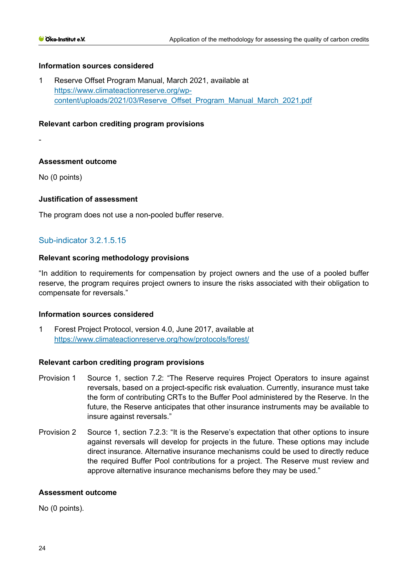#### **Information sources considered**

1 Reserve Offset Program Manual, March 2021, available at [https://www.climateactionreserve.org/wp](https://www.climateactionreserve.org/wp-content/uploads/2021/03/Reserve_Offset_Program_Manual_March_2021.pdf)[content/uploads/2021/03/Reserve\\_Offset\\_Program\\_Manual\\_March\\_2021.pdf](https://www.climateactionreserve.org/wp-content/uploads/2021/03/Reserve_Offset_Program_Manual_March_2021.pdf)

#### **Relevant carbon crediting program provisions**

-

#### **Assessment outcome**

No (0 points)

### **Justification of assessment**

The program does not use a non-pooled buffer reserve.

## Sub-indicator 3.2.1.5.15

#### **Relevant scoring methodology provisions**

"In addition to requirements for compensation by project owners and the use of a pooled buffer reserve, the program requires project owners to insure the risks associated with their obligation to compensate for reversals."

#### **Information sources considered**

1 Forest Project Protocol, version 4.0, June 2017, available at <https://www.climateactionreserve.org/how/protocols/forest/>

#### **Relevant carbon crediting program provisions**

- Provision 1 Source 1, section 7.2: "The Reserve requires Project Operators to insure against reversals, based on a project-specific risk evaluation. Currently, insurance must take the form of contributing CRTs to the Buffer Pool administered by the Reserve. In the future, the Reserve anticipates that other insurance instruments may be available to insure against reversals."
- Provision 2 Source 1, section 7.2.3: "It is the Reserve's expectation that other options to insure against reversals will develop for projects in the future. These options may include direct insurance. Alternative insurance mechanisms could be used to directly reduce the required Buffer Pool contributions for a project. The Reserve must review and approve alternative insurance mechanisms before they may be used."

#### **Assessment outcome**

No (0 points).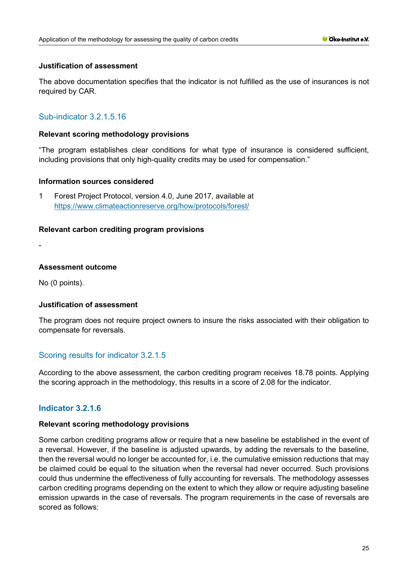### **Justification of assessment**

The above documentation specifies that the indicator is not fulfilled as the use of insurances is not required by CAR.

## Sub-indicator 3.2.1.5.16

### **Relevant scoring methodology provisions**

"The program establishes clear conditions for what type of insurance is considered sufficient, including provisions that only high-quality credits may be used for compensation."

#### **Information sources considered**

1 Forest Project Protocol, version 4.0, June 2017, available at <https://www.climateactionreserve.org/how/protocols/forest/>

#### **Relevant carbon crediting program provisions**

-

#### **Assessment outcome**

No (0 points).

## **Justification of assessment**

The program does not require project owners to insure the risks associated with their obligation to compensate for reversals.

## Scoring results for indicator 3.2.1.5

According to the above assessment, the carbon crediting program receives 18.78 points. Applying the scoring approach in the methodology, this results in a score of 2.08 for the indicator.

# **Indicator 3.2.1.6**

#### **Relevant scoring methodology provisions**

Some carbon crediting programs allow or require that a new baseline be established in the event of a reversal. However, if the baseline is adjusted upwards, by adding the reversals to the baseline, then the reversal would no longer be accounted for, i.e. the cumulative emission reductions that may be claimed could be equal to the situation when the reversal had never occurred. Such provisions could thus undermine the effectiveness of fully accounting for reversals. The methodology assesses carbon crediting programs depending on the extent to which they allow or require adjusting baseline emission upwards in the case of reversals. The program requirements in the case of reversals are scored as follows: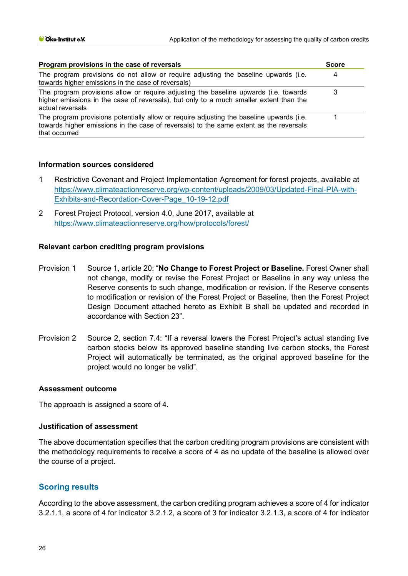| Program provisions in the case of reversals                                                                                                                                                         |   |  |
|-----------------------------------------------------------------------------------------------------------------------------------------------------------------------------------------------------|---|--|
| The program provisions do not allow or require adjusting the baseline upwards (i.e.<br>towards higher emissions in the case of reversals)                                                           | 4 |  |
| The program provisions allow or require adjusting the baseline upwards (i.e. towards<br>higher emissions in the case of reversals), but only to a much smaller extent than the<br>actual reversals  | 3 |  |
| The program provisions potentially allow or require adjusting the baseline upwards (i.e.<br>towards higher emissions in the case of reversals) to the same extent as the reversals<br>that occurred |   |  |

#### **Information sources considered**

- 1 Restrictive Covenant and Project Implementation Agreement for forest projects, available at [https://www.climateactionreserve.org/wp-content/uploads/2009/03/Updated-Final-PIA-with-](https://www.climateactionreserve.org/wp-content/uploads/2009/03/Updated-Final-PIA-with-Exhibits-and-Recordation-Cover-Page_10-19-12.pdf)[Exhibits-and-Recordation-Cover-Page\\_10-19-12.pdf](https://www.climateactionreserve.org/wp-content/uploads/2009/03/Updated-Final-PIA-with-Exhibits-and-Recordation-Cover-Page_10-19-12.pdf)
- 2 Forest Project Protocol, version 4.0, June 2017, available at <https://www.climateactionreserve.org/how/protocols/forest/>

#### **Relevant carbon crediting program provisions**

- Provision 1 Source 1, article 20: "**No Change to Forest Project or Baseline.** Forest Owner shall not change, modify or revise the Forest Project or Baseline in any way unless the Reserve consents to such change, modification or revision. If the Reserve consents to modification or revision of the Forest Project or Baseline, then the Forest Project Design Document attached hereto as Exhibit B shall be updated and recorded in accordance with Section 23".
- Provision 2 Source 2, section 7.4: "If a reversal lowers the Forest Project's actual standing live carbon stocks below its approved baseline standing live carbon stocks, the Forest Project will automatically be terminated, as the original approved baseline for the project would no longer be valid".

#### **Assessment outcome**

The approach is assigned a score of 4.

#### **Justification of assessment**

The above documentation specifies that the carbon crediting program provisions are consistent with the methodology requirements to receive a score of 4 as no update of the baseline is allowed over the course of a project.

## **Scoring results**

According to the above assessment, the carbon crediting program achieves a score of 4 for indicator 3.2.1.1, a score of 4 for indicator 3.2.1.2, a score of 3 for indicator 3.2.1.3, a score of 4 for indicator